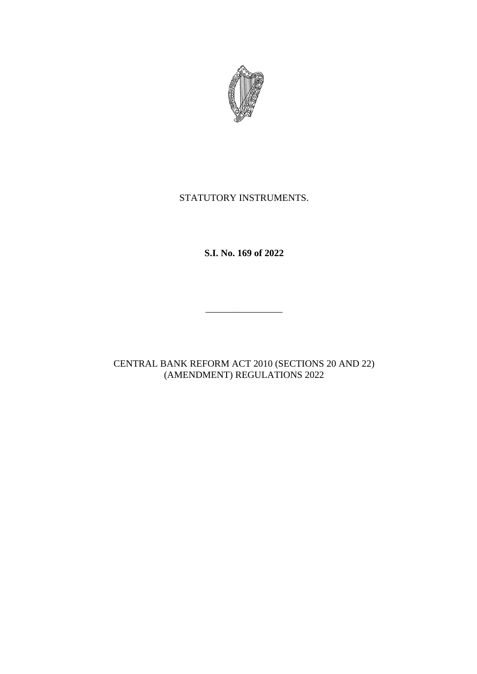

# STATUTORY INSTRUMENTS.

**S.I. No. 169 of 2022**

CENTRAL BANK REFORM ACT 2010 (SECTIONS 20 AND 22) (AMENDMENT) REGULATIONS 2022

\_\_\_\_\_\_\_\_\_\_\_\_\_\_\_\_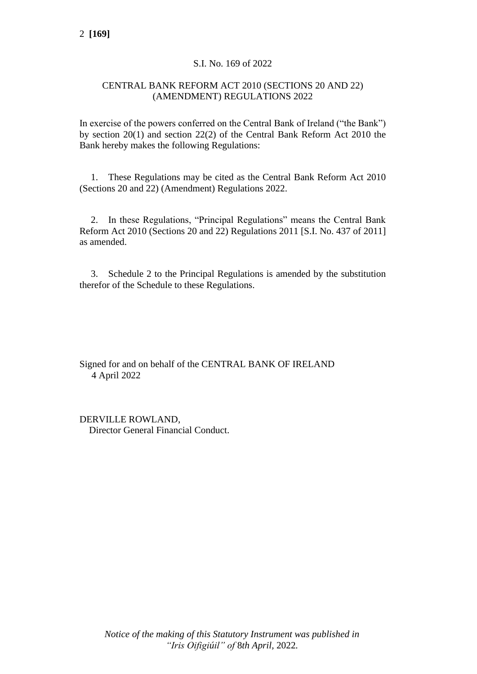## S.I. No. 169 of 2022

#### CENTRAL BANK REFORM ACT 2010 (SECTIONS 20 AND 22) (AMENDMENT) REGULATIONS 2022

In exercise of the powers conferred on the Central Bank of Ireland ("the Bank") by section 20(1) and section 22(2) of the Central Bank Reform Act 2010 the Bank hereby makes the following Regulations:

1. These Regulations may be cited as the Central Bank Reform Act 2010 (Sections 20 and 22) (Amendment) Regulations 2022.

2. In these Regulations, "Principal Regulations" means the Central Bank Reform Act 2010 (Sections 20 and 22) Regulations 2011 [S.I. No. 437 of 2011] as amended.

3. Schedule 2 to the Principal Regulations is amended by the substitution therefor of the Schedule to these Regulations.

Signed for and on behalf of the CENTRAL BANK OF IRELAND 4 April 2022

DERVILLE ROWLAND, Director General Financial Conduct.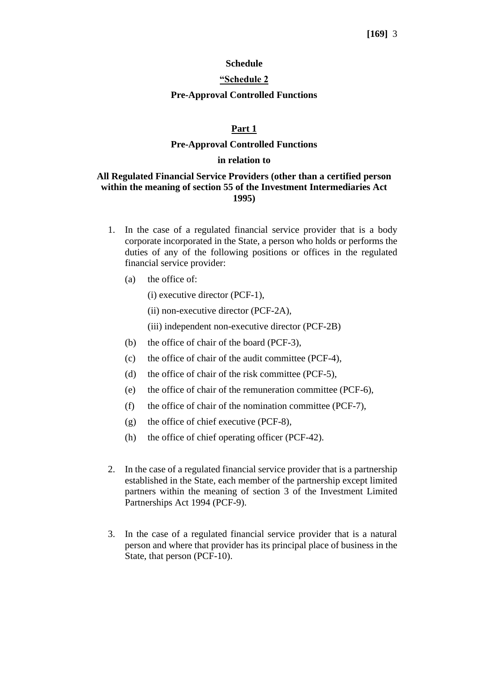#### **Schedule**

#### **"Schedule 2**

#### **Pre-Approval Controlled Functions**

#### **Part 1**

#### **Pre-Approval Controlled Functions**

#### **in relation to**

#### **All Regulated Financial Service Providers (other than a certified person within the meaning of section 55 of the Investment Intermediaries Act 1995)**

- 1. In the case of a regulated financial service provider that is a body corporate incorporated in the State, a person who holds or performs the duties of any of the following positions or offices in the regulated financial service provider:
	- (a) the office of:
		- (i) executive director (PCF-1),
		- (ii) non-executive director (PCF-2A),
		- (iii) independent non-executive director (PCF-2B)
	- (b) the office of chair of the board (PCF-3),
	- (c) the office of chair of the audit committee (PCF-4),
	- (d) the office of chair of the risk committee (PCF-5),
	- (e) the office of chair of the remuneration committee (PCF-6),
	- (f) the office of chair of the nomination committee (PCF-7),
	- (g) the office of chief executive (PCF-8),
	- (h) the office of chief operating officer (PCF-42).
- 2. In the case of a regulated financial service provider that is a partnership established in the State, each member of the partnership except limited partners within the meaning of section 3 of the Investment Limited Partnerships Act 1994 (PCF-9).
- 3. In the case of a regulated financial service provider that is a natural person and where that provider has its principal place of business in the State, that person (PCF-10).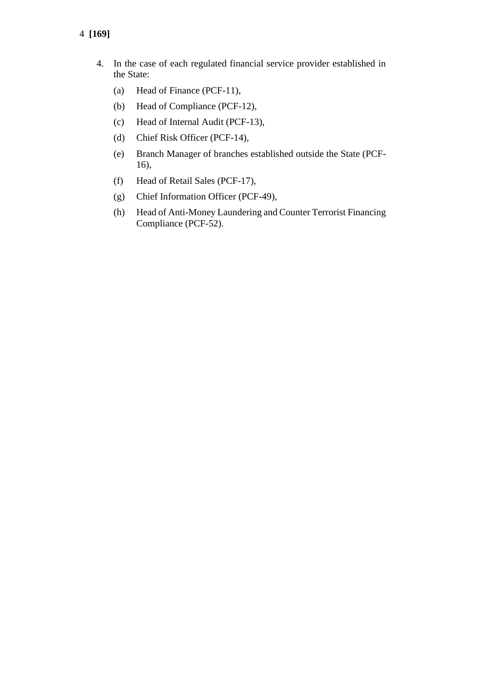- 4 **[169]**
	- 4. In the case of each regulated financial service provider established in the State:
		- (a) Head of Finance (PCF-11),
		- (b) Head of Compliance (PCF-12),
		- (c) Head of Internal Audit (PCF-13),
		- (d) Chief Risk Officer (PCF-14),
		- (e) Branch Manager of branches established outside the State (PCF-16),
		- (f) Head of Retail Sales (PCF-17),
		- (g) Chief Information Officer (PCF-49),
		- (h) Head of Anti-Money Laundering and Counter Terrorist Financing Compliance (PCF-52).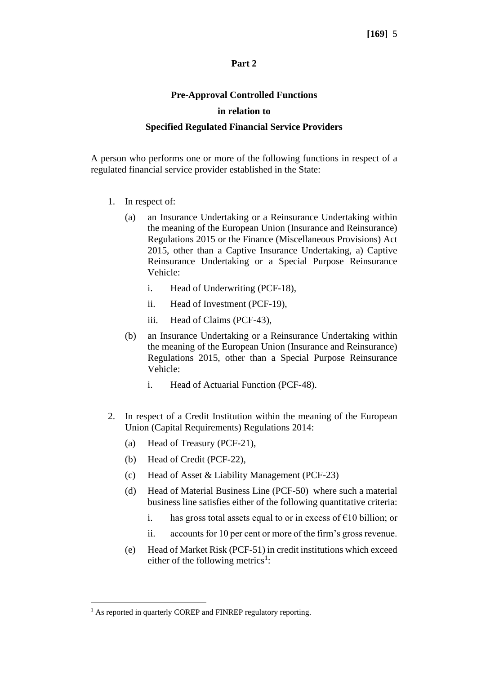#### **Part 2**

# **Pre-Approval Controlled Functions in relation to**

## **Specified Regulated Financial Service Providers**

A person who performs one or more of the following functions in respect of a regulated financial service provider established in the State:

- 1. In respect of:
	- (a) an Insurance Undertaking or a Reinsurance Undertaking within the meaning of the European Union (Insurance and Reinsurance) Regulations 2015 or the Finance (Miscellaneous Provisions) Act 2015, other than a Captive Insurance Undertaking, a) Captive Reinsurance Undertaking or a Special Purpose Reinsurance Vehicle:
		- i. Head of Underwriting (PCF-18),
		- ii. Head of Investment (PCF-19),
		- iii. Head of Claims (PCF-43),
	- (b) an Insurance Undertaking or a Reinsurance Undertaking within the meaning of the European Union (Insurance and Reinsurance) Regulations 2015, other than a Special Purpose Reinsurance Vehicle:
		- i. Head of Actuarial Function (PCF-48).
- 2. In respect of a Credit Institution within the meaning of the European Union (Capital Requirements) Regulations 2014:
	- (a) Head of Treasury (PCF-21),
	- (b) Head of Credit (PCF-22),
	- (c) Head of Asset & Liability Management (PCF-23)
	- (d) Head of Material Business Line (PCF-50) where such a material business line satisfies either of the following quantitative criteria:
		- i. has gross total assets equal to or in excess of  $\epsilon$ 10 billion; or
		- ii. accounts for 10 per cent or more of the firm's gross revenue.
	- (e) Head of Market Risk (PCF-51) in credit institutions which exceed either of the following metrics<sup>1</sup>:

<sup>&</sup>lt;sup>1</sup> As reported in quarterly COREP and FINREP regulatory reporting.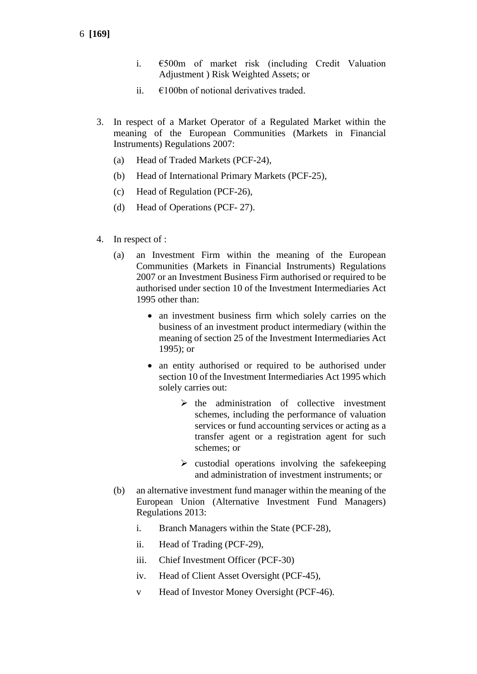- i. €500m of market risk (including Credit Valuation Adjustment ) Risk Weighted Assets; or
- ii.  $\epsilon$ 100bn of notional derivatives traded.
- 3. In respect of a Market Operator of a Regulated Market within the meaning of the European Communities (Markets in Financial Instruments) Regulations 2007:
	- (a) Head of Traded Markets (PCF-24),
	- (b) Head of International Primary Markets (PCF-25),
	- (c) Head of Regulation (PCF-26),
	- (d) Head of Operations (PCF- 27).
- 4. In respect of :
	- (a) an Investment Firm within the meaning of the European Communities (Markets in Financial Instruments) Regulations 2007 or an Investment Business Firm authorised or required to be authorised under section 10 of the Investment Intermediaries Act 1995 other than:
		- an investment business firm which solely carries on the business of an investment product intermediary (within the meaning of section 25 of the Investment Intermediaries Act 1995); or
		- an entity authorised or required to be authorised under section 10 of the Investment Intermediaries Act 1995 which solely carries out:
			- $\triangleright$  the administration of collective investment schemes, including the performance of valuation services or fund accounting services or acting as a transfer agent or a registration agent for such schemes; or
			- $\triangleright$  custodial operations involving the safekeeping and administration of investment instruments; or
	- (b) an alternative investment fund manager within the meaning of the European Union (Alternative Investment Fund Managers) Regulations 2013:
		- i. Branch Managers within the State (PCF-28),
		- ii. Head of Trading (PCF-29),
		- iii. Chief Investment Officer (PCF-30)
		- iv. Head of Client Asset Oversight (PCF-45),
		- v Head of Investor Money Oversight (PCF-46).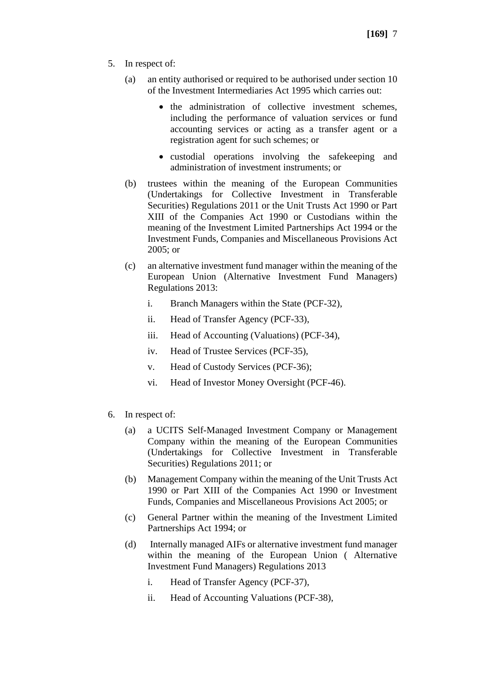- 5. In respect of:
	- (a) an entity authorised or required to be authorised under section 10 of the Investment Intermediaries Act 1995 which carries out:
		- the administration of collective investment schemes, including the performance of valuation services or fund accounting services or acting as a transfer agent or a registration agent for such schemes; or
		- custodial operations involving the safekeeping and administration of investment instruments; or
	- (b) trustees within the meaning of the European Communities (Undertakings for Collective Investment in Transferable Securities) Regulations 2011 or the Unit Trusts Act 1990 or Part XIII of the Companies Act 1990 or Custodians within the meaning of the Investment Limited Partnerships Act 1994 or the Investment Funds, Companies and Miscellaneous Provisions Act 2005; or
	- (c) an alternative investment fund manager within the meaning of the European Union (Alternative Investment Fund Managers) Regulations 2013:
		- i. Branch Managers within the State (PCF-32),
		- ii. Head of Transfer Agency (PCF-33),
		- iii. Head of Accounting (Valuations) (PCF-34),
		- iv. Head of Trustee Services (PCF-35),
		- v. Head of Custody Services (PCF-36);
		- vi. Head of Investor Money Oversight (PCF-46).
- 6. In respect of:
	- (a) a UCITS Self-Managed Investment Company or Management Company within the meaning of the European Communities (Undertakings for Collective Investment in Transferable Securities) Regulations 2011; or
	- (b) Management Company within the meaning of the Unit Trusts Act 1990 or Part XIII of the Companies Act 1990 or Investment Funds, Companies and Miscellaneous Provisions Act 2005; or
	- (c) General Partner within the meaning of the Investment Limited Partnerships Act 1994; or
	- (d) Internally managed AIFs or alternative investment fund manager within the meaning of the European Union ( Alternative Investment Fund Managers) Regulations 2013
		- i. Head of Transfer Agency (PCF-37),
		- ii. Head of Accounting Valuations (PCF-38),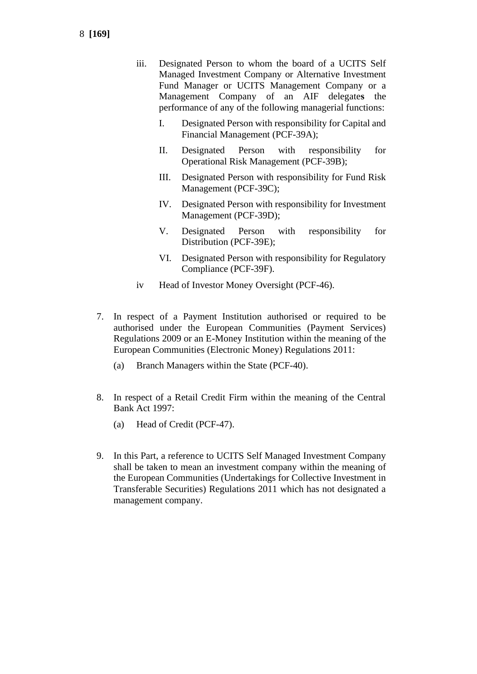- iii. Designated Person to whom the board of a UCITS Self Managed Investment Company or Alternative Investment Fund Manager or UCITS Management Company or a Management Company of an AIF delegate**s** the performance of any of the following managerial functions:
	- I. Designated Person with responsibility for Capital and Financial Management (PCF-39A);
	- II. Designated Person with responsibility for Operational Risk Management (PCF-39B);
	- III. Designated Person with responsibility for Fund Risk Management (PCF-39C);
	- IV. Designated Person with responsibility for Investment Management (PCF-39D);
	- V. Designated Person with responsibility for Distribution (PCF-39E);
	- VI. Designated Person with responsibility for Regulatory Compliance (PCF-39F).
- iv Head of Investor Money Oversight (PCF-46).
- 7. In respect of a Payment Institution authorised or required to be authorised under the European Communities (Payment Services) Regulations 2009 or an E-Money Institution within the meaning of the European Communities (Electronic Money) Regulations 2011:
	- (a) Branch Managers within the State (PCF-40).
- 8. In respect of a Retail Credit Firm within the meaning of the Central Bank Act 1997:
	- (a) Head of Credit (PCF-47).
- 9. In this Part, a reference to UCITS Self Managed Investment Company shall be taken to mean an investment company within the meaning of the European Communities (Undertakings for Collective Investment in Transferable Securities) Regulations 2011 which has not designated a management company.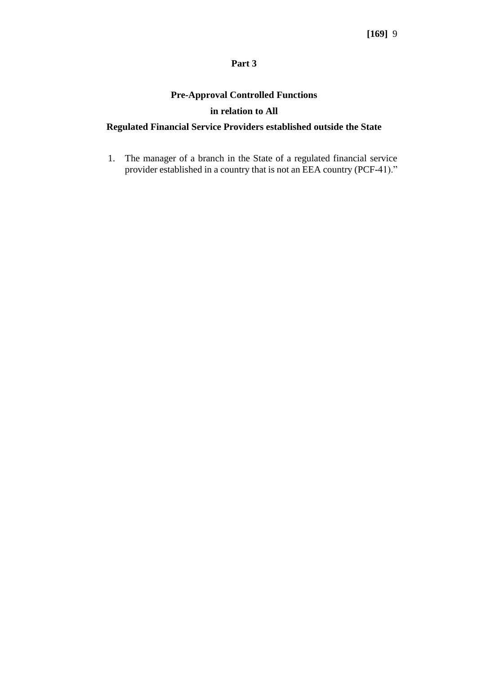#### **Part 3**

# **Pre-Approval Controlled Functions in relation to All**

# **Regulated Financial Service Providers established outside the State**

1. The manager of a branch in the State of a regulated financial service provider established in a country that is not an EEA country (PCF-41)."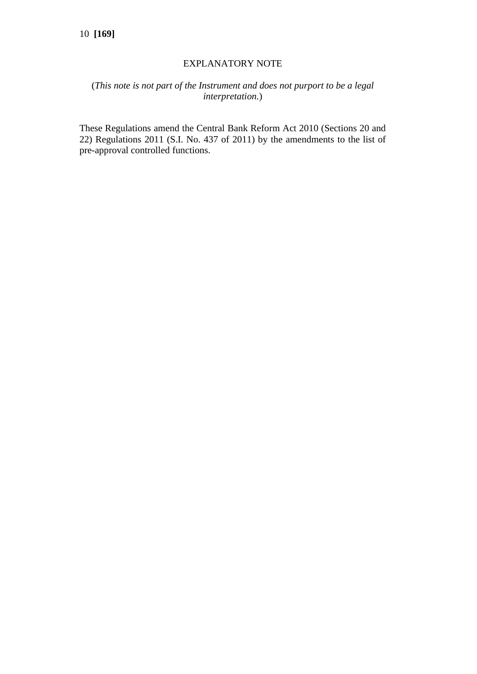#### EXPLANATORY NOTE

# (*This note is not part of the Instrument and does not purport to be a legal interpretation.*)

These Regulations amend the Central Bank Reform Act 2010 (Sections 20 and 22) Regulations 2011 (S.I. No. 437 of 2011) by the amendments to the list of pre-approval controlled functions.